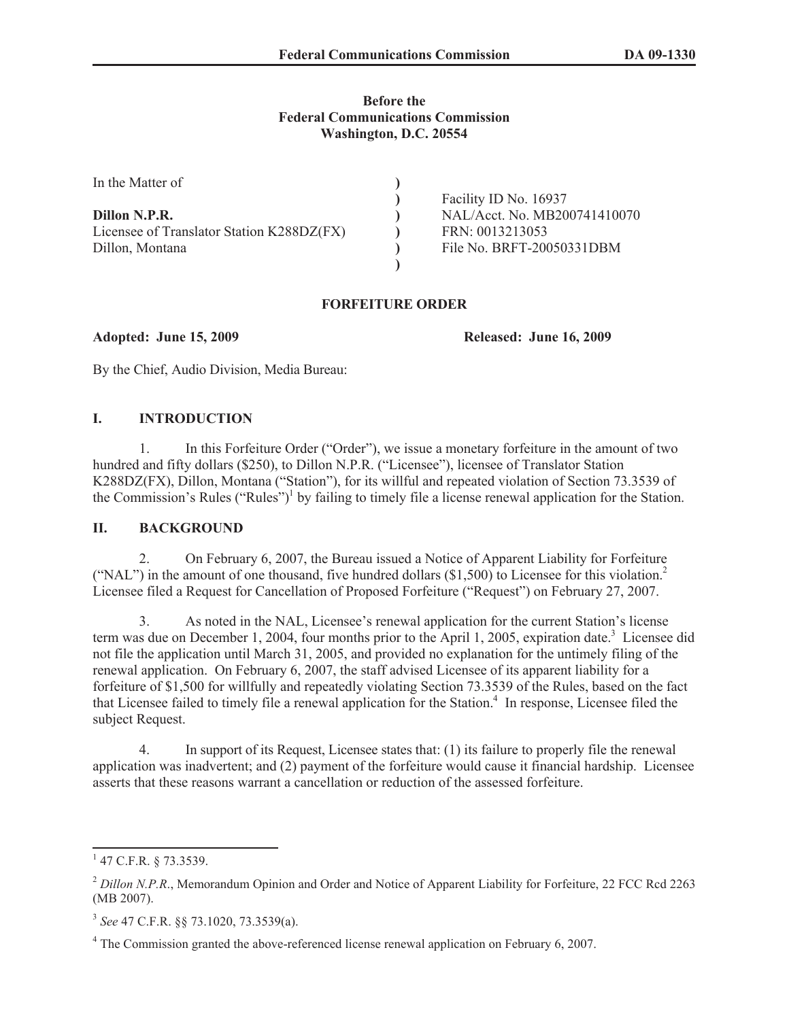#### **Before the Federal Communications Commission Washington, D.C. 20554**

| In the Matter of                          |                              |
|-------------------------------------------|------------------------------|
|                                           | Facility ID No. 16937        |
| Dillon N.P.R.                             | NAL/Acct. No. MB200741410070 |
| Licensee of Translator Station K288DZ(FX) | FRN: 0013213053              |
| Dillon, Montana                           | File No. BRFT-20050331DBM    |
|                                           |                              |

### **FORFEITURE ORDER**

**Adopted: June 15, 2009 Released: June 16, 2009**

By the Chief, Audio Division, Media Bureau:

# **I. INTRODUCTION**

1. In this Forfeiture Order ("Order"), we issue a monetary forfeiture in the amount of two hundred and fifty dollars (\$250), to Dillon N.P.R. ("Licensee"), licensee of Translator Station K288DZ(FX), Dillon, Montana ("Station"), for its willful and repeated violation of Section 73.3539 of the Commission's Rules ("Rules")<sup>1</sup> by failing to timely file a license renewal application for the Station.

### **II. BACKGROUND**

2. On February 6, 2007, the Bureau issued a Notice of Apparent Liability for Forfeiture ("NAL") in the amount of one thousand, five hundred dollars  $(\$1,500)$  to Licensee for this violation.<sup>2</sup> Licensee filed a Request for Cancellation of Proposed Forfeiture ("Request") on February 27, 2007.

3. As noted in the NAL, Licensee's renewal application for the current Station's license term was due on December 1, 2004, four months prior to the April 1, 2005, expiration date.<sup>3</sup> Licensee did not file the application until March 31, 2005, and provided no explanation for the untimely filing of the renewal application. On February 6, 2007, the staff advised Licensee of its apparent liability for a forfeiture of \$1,500 for willfully and repeatedly violating Section 73.3539 of the Rules, based on the fact that Licensee failed to timely file a renewal application for the Station.<sup>4</sup> In response, Licensee filed the subject Request.

4. In support of its Request, Licensee states that: (1) its failure to properly file the renewal application was inadvertent; and (2) payment of the forfeiture would cause it financial hardship. Licensee asserts that these reasons warrant a cancellation or reduction of the assessed forfeiture.

 $1$  47 C.F.R. § 73.3539.

<sup>&</sup>lt;sup>2</sup> Dillon N.P.R., Memorandum Opinion and Order and Notice of Apparent Liability for Forfeiture, 22 FCC Rcd 2263 (MB 2007).

<sup>3</sup> *See* 47 C.F.R. §§ 73.1020, 73.3539(a).

<sup>&</sup>lt;sup>4</sup> The Commission granted the above-referenced license renewal application on February 6, 2007.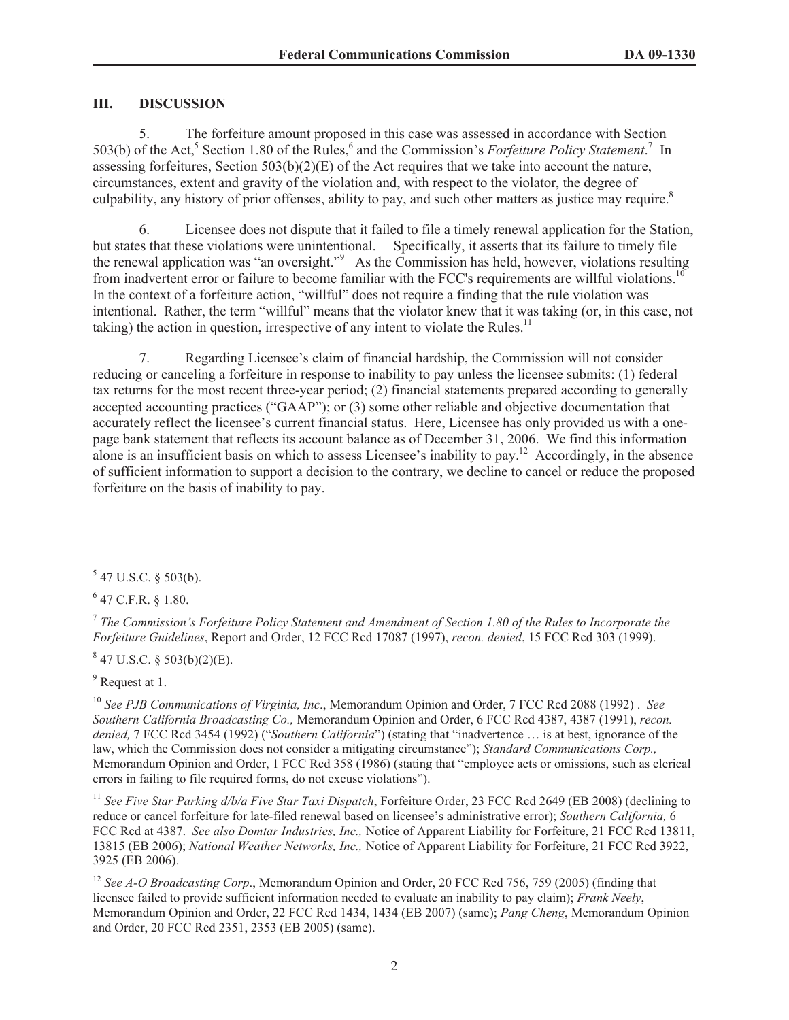#### **III. DISCUSSION**

5. The forfeiture amount proposed in this case was assessed in accordance with Section 503(b) of the Act,<sup>5</sup> Section 1.80 of the Rules,<sup>6</sup> and the Commission's *Forfeiture Policy Statement*.<sup>7</sup> In assessing for feitures, Section  $503(b)(2)(E)$  of the Act requires that we take into account the nature, circumstances, extent and gravity of the violation and, with respect to the violator, the degree of culpability, any history of prior offenses, ability to pay, and such other matters as justice may require.<sup>8</sup>

6. Licensee does not dispute that it failed to file a timely renewal application for the Station, but states that these violations were unintentional. Specifically, it asserts that its failure to timely file the renewal application was "an oversight."<sup>9</sup> As the Commission has held, however, violations resulting from inadvertent error or failure to become familiar with the FCC's requirements are willful violations.<sup>10</sup> In the context of a forfeiture action, "willful" does not require a finding that the rule violation was intentional. Rather, the term "willful" means that the violator knew that it was taking (or, in this case, not taking) the action in question, irrespective of any intent to violate the Rules.<sup>11</sup>

7. Regarding Licensee's claim of financial hardship, the Commission will not consider reducing or canceling a forfeiture in response to inability to pay unless the licensee submits: (1) federal tax returns for the most recent three-year period; (2) financial statements prepared according to generally accepted accounting practices ("GAAP"); or (3) some other reliable and objective documentation that accurately reflect the licensee's current financial status. Here, Licensee has only provided us with a onepage bank statement that reflects its account balance as of December 31, 2006. We find this information alone is an insufficient basis on which to assess Licensee's inability to pay.<sup>12</sup> Accordingly, in the absence of sufficient information to support a decision to the contrary, we decline to cancel or reduce the proposed forfeiture on the basis of inability to pay.

 $6$  47 C.F.R. § 1.80.

 $847$  U.S.C. § 503(b)(2)(E).

<sup>9</sup> Request at 1.

<sup>10</sup> *See PJB Communications of Virginia, Inc*., Memorandum Opinion and Order, 7 FCC Rcd 2088 (1992) . *See Southern California Broadcasting Co.,* Memorandum Opinion and Order, 6 FCC Rcd 4387, 4387 (1991), *recon. denied,* 7 FCC Rcd 3454 (1992) ("*Southern California*") (stating that "inadvertence … is at best, ignorance of the law, which the Commission does not consider a mitigating circumstance"); *Standard Communications Corp.,*  Memorandum Opinion and Order, 1 FCC Rcd 358 (1986) (stating that "employee acts or omissions, such as clerical errors in failing to file required forms, do not excuse violations").

<sup>11</sup> *See Five Star Parking d/b/a Five Star Taxi Dispatch*, Forfeiture Order, 23 FCC Rcd 2649 (EB 2008) (declining to reduce or cancel forfeiture for late-filed renewal based on licensee's administrative error); *Southern California,* 6 FCC Rcd at 4387. *See also Domtar Industries, Inc.,* Notice of Apparent Liability for Forfeiture, 21 FCC Rcd 13811, 13815 (EB 2006); *National Weather Networks, Inc.,* Notice of Apparent Liability for Forfeiture, 21 FCC Rcd 3922, 3925 (EB 2006).

<sup>12</sup> See A-O Broadcasting Corp., Memorandum Opinion and Order, 20 FCC Rcd 756, 759 (2005) (finding that licensee failed to provide sufficient information needed to evaluate an inability to pay claim); *Frank Neely*, Memorandum Opinion and Order, 22 FCC Rcd 1434, 1434 (EB 2007) (same); *Pang Cheng*, Memorandum Opinion and Order, 20 FCC Rcd 2351, 2353 (EB 2005) (same).

 $547$  U.S.C. § 503(b).

<sup>7</sup> *The Commission's Forfeiture Policy Statement and Amendment of Section 1.80 of the Rules to Incorporate the Forfeiture Guidelines*, Report and Order, 12 FCC Rcd 17087 (1997), *recon. denied*, 15 FCC Rcd 303 (1999).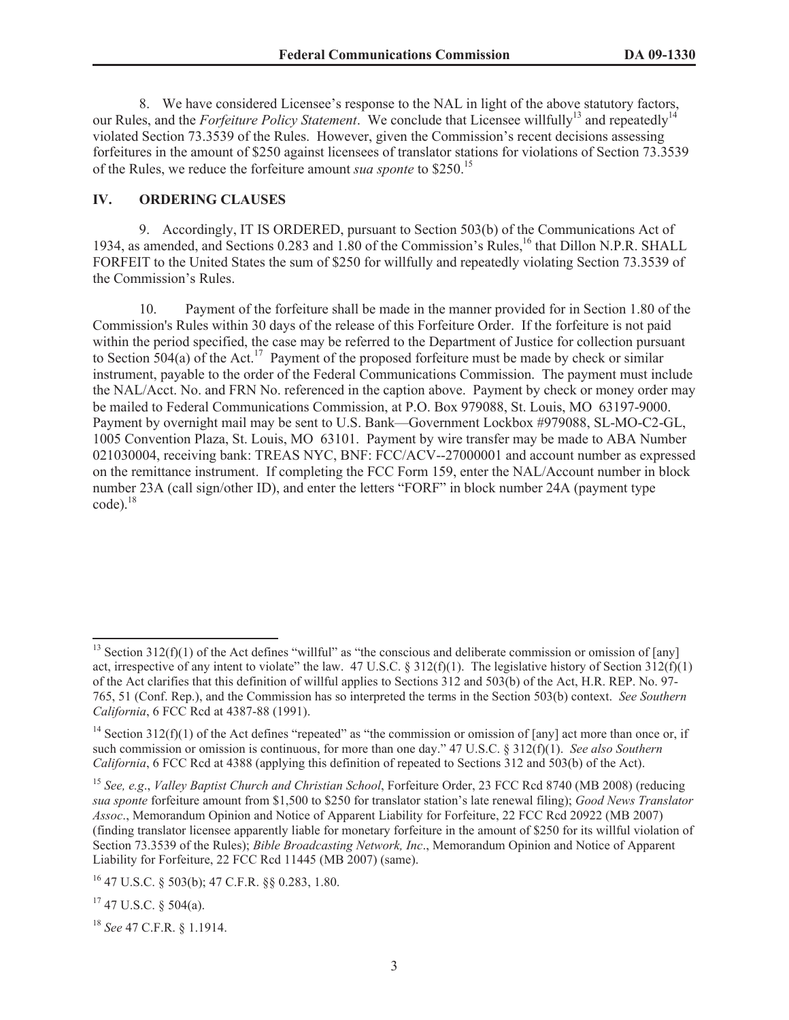8. We have considered Licensee's response to the NAL in light of the above statutory factors, our Rules, and the *Forfeiture Policy Statement*. We conclude that Licensee willfully<sup>13</sup> and repeatedly<sup>14</sup> violated Section 73.3539 of the Rules. However, given the Commission's recent decisions assessing forfeitures in the amount of \$250 against licensees of translator stations for violations of Section 73.3539 of the Rules, we reduce the forfeiture amount *sua sponte* to \$250.<sup>15</sup>

## **IV. ORDERING CLAUSES**

9. Accordingly, IT IS ORDERED, pursuant to Section 503(b) of the Communications Act of 1934, as amended, and Sections 0.283 and 1.80 of the Commission's Rules,<sup>16</sup> that Dillon N.P.R. SHALL FORFEIT to the United States the sum of \$250 for willfully and repeatedly violating Section 73.3539 of the Commission's Rules.

10. Payment of the forfeiture shall be made in the manner provided for in Section 1.80 of the Commission's Rules within 30 days of the release of this Forfeiture Order. If the forfeiture is not paid within the period specified, the case may be referred to the Department of Justice for collection pursuant to Section 504(a) of the Act.<sup>17</sup> Payment of the proposed forfeiture must be made by check or similar instrument, payable to the order of the Federal Communications Commission. The payment must include the NAL/Acct. No. and FRN No. referenced in the caption above. Payment by check or money order may be mailed to Federal Communications Commission, at P.O. Box 979088, St. Louis, MO 63197-9000. Payment by overnight mail may be sent to U.S. Bank—Government Lockbox #979088, SL-MO-C2-GL, 1005 Convention Plaza, St. Louis, MO 63101. Payment by wire transfer may be made to ABA Number 021030004, receiving bank: TREAS NYC, BNF: FCC/ACV--27000001 and account number as expressed on the remittance instrument. If completing the FCC Form 159, enter the NAL/Account number in block number 23A (call sign/other ID), and enter the letters "FORF" in block number 24A (payment type  $code)$ .<sup>18</sup>

<sup>&</sup>lt;sup>13</sup> Section 312(f)(1) of the Act defines "willful" as "the conscious and deliberate commission or omission of [any] act, irrespective of any intent to violate" the law. 47 U.S.C. § 312(f)(1). The legislative history of Section  $3\overline{12(f)}(1)$ of the Act clarifies that this definition of willful applies to Sections 312 and 503(b) of the Act, H.R. REP. No. 97- 765, 51 (Conf. Rep.), and the Commission has so interpreted the terms in the Section 503(b) context. *See Southern California*, 6 FCC Rcd at 4387-88 (1991).

<sup>&</sup>lt;sup>14</sup> Section 312(f)(1) of the Act defines "repeated" as "the commission or omission of [any] act more than once or, if such commission or omission is continuous, for more than one day." 47 U.S.C. § 312(f)(1). *See also Southern California*, 6 FCC Rcd at 4388 (applying this definition of repeated to Sections 312 and 503(b) of the Act).

<sup>15</sup> *See, e.g*., *Valley Baptist Church and Christian School*, Forfeiture Order, 23 FCC Rcd 8740 (MB 2008) (reducing *sua sponte* forfeiture amount from \$1,500 to \$250 for translator station's late renewal filing); *Good News Translator Assoc*., Memorandum Opinion and Notice of Apparent Liability for Forfeiture, 22 FCC Rcd 20922 (MB 2007) (finding translator licensee apparently liable for monetary forfeiture in the amount of \$250 for its willful violation of Section 73.3539 of the Rules); *Bible Broadcasting Network, Inc*., Memorandum Opinion and Notice of Apparent Liability for Forfeiture, 22 FCC Rcd 11445 (MB 2007) (same).

<sup>16</sup> 47 U.S.C. § 503(b); 47 C.F.R. §§ 0.283, 1.80.

 $17$  47 U.S.C. § 504(a).

<sup>18</sup> *See* 47 C.F.R. § 1.1914.